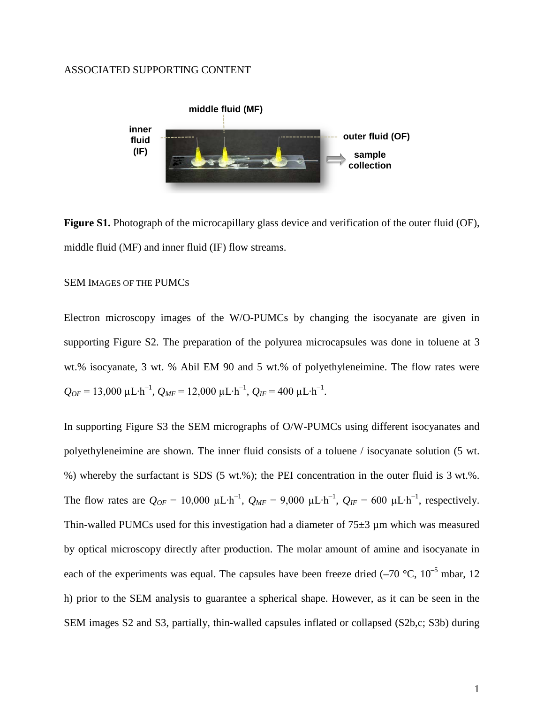## ASSOCIATED SUPPORTING CONTENT



**Figure S1.** Photograph of the microcapillary glass device and verification of the outer fluid (OF), middle fluid (MF) and inner fluid (IF) flow streams.

## SEM IMAGES OF THE PUMCS

Electron microscopy images of the W/O-PUMCs by changing the isocyanate are given in supporting Figure S2. The preparation of the polyurea microcapsules was done in toluene at 3 wt.% isocyanate, 3 wt. % Abil EM 90 and 5 wt.% of polyethyleneimine. The flow rates were  $Q_{OF}$  = 13,000  $\mu$ L⋅h<sup>-1</sup>,  $Q_{MF}$  = 12,000  $\mu$ L⋅h<sup>-1</sup>,  $Q_{IF}$  = 400  $\mu$ L⋅h<sup>-1</sup>.

In supporting Figure S3 the SEM micrographs of O/W-PUMCs using different isocyanates and polyethyleneimine are shown. The inner fluid consists of a toluene / isocyanate solution (5 wt. %) whereby the surfactant is SDS (5 wt.%); the PEI concentration in the outer fluid is 3 wt.%. The flow rates are  $Q_{OF} = 10{,}000 \mu L \cdot h^{-1}$ ,  $Q_{MF} = 9{,}000 \mu L \cdot h^{-1}$ ,  $Q_{IF} = 600 \mu L \cdot h^{-1}$ , respectively. Thin-walled PUMCs used for this investigation had a diameter of  $75\pm3$  µm which was measured by optical microscopy directly after production. The molar amount of amine and isocyanate in each of the experiments was equal. The capsules have been freeze dried  $(-70 \degree C, 10^{-5} \text{ mbar}, 12)$ h) prior to the SEM analysis to guarantee a spherical shape. However, as it can be seen in the SEM images S2 and S3, partially, thin-walled capsules inflated or collapsed (S2b,c; S3b) during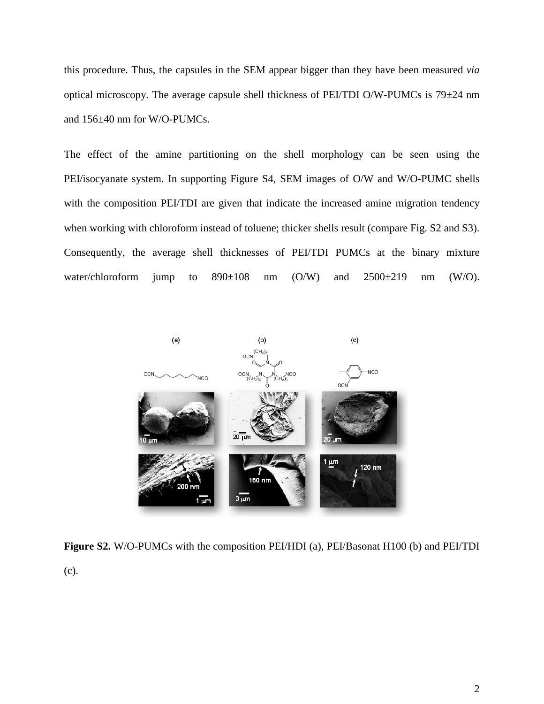this procedure. Thus, the capsules in the SEM appear bigger than they have been measured *via* optical microscopy. The average capsule shell thickness of PEI/TDI O/W-PUMCs is 79±24 nm and 156±40 nm for W/O-PUMCs.

The effect of the amine partitioning on the shell morphology can be seen using the PEI/isocyanate system. In supporting Figure S4, SEM images of O/W and W/O-PUMC shells with the composition PEI/TDI are given that indicate the increased amine migration tendency when working with chloroform instead of toluene; thicker shells result (compare Fig. S2 and S3). Consequently, the average shell thicknesses of PEI/TDI PUMCs at the binary mixture water/chloroform jump to  $890\pm108$  nm (O/W) and  $2500\pm219$  nm (W/O).



**Figure S2.** W/O-PUMCs with the composition PEI/HDI (a), PEI/Basonat H100 (b) and PEI/TDI (c).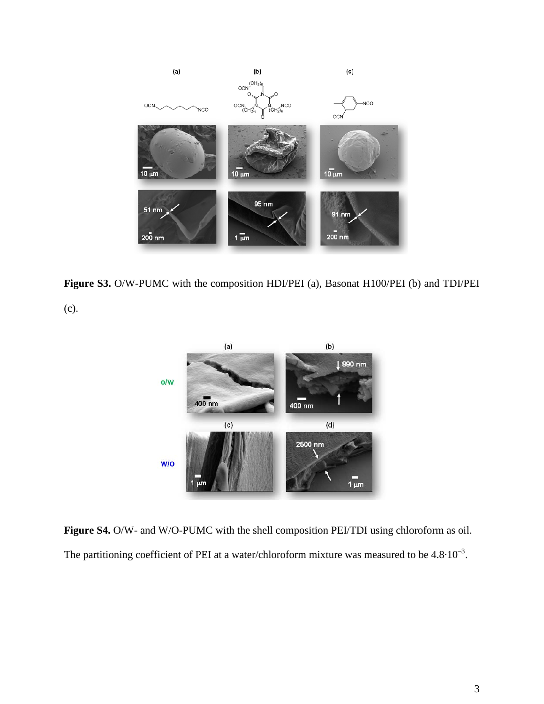

**Figure S3.** O/W-PUMC with the composition HDI/PEI (a), Basonat H100/PEI (b) and TDI/PEI

(c).



**Figure S4.** O/W- and W/O-PUMC with the shell composition PEI/TDI using chloroform as oil. The partitioning coefficient of PEI at a water/chloroform mixture was measured to be  $4.8 \cdot 10^{-3}$ .